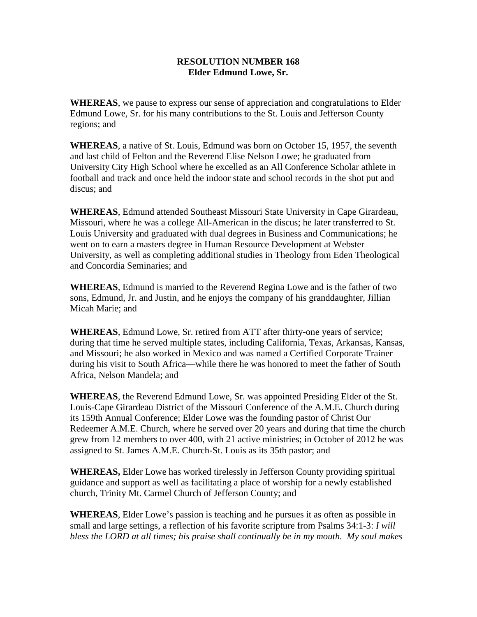## **RESOLUTION NUMBER 168 Elder Edmund Lowe, Sr.**

**WHEREAS**, we pause to express our sense of appreciation and congratulations to Elder Edmund Lowe, Sr. for his many contributions to the St. Louis and Jefferson County regions; and

**WHEREAS**, a native of St. Louis, Edmund was born on October 15, 1957, the seventh and last child of Felton and the Reverend Elise Nelson Lowe; he graduated from University City High School where he excelled as an All Conference Scholar athlete in football and track and once held the indoor state and school records in the shot put and discus; and

**WHEREAS**, Edmund attended Southeast Missouri State University in Cape Girardeau, Missouri, where he was a college All-American in the discus; he later transferred to St. Louis University and graduated with dual degrees in Business and Communications; he went on to earn a masters degree in Human Resource Development at Webster University, as well as completing additional studies in Theology from Eden Theological and Concordia Seminaries; and

**WHEREAS**, Edmund is married to the Reverend Regina Lowe and is the father of two sons, Edmund, Jr. and Justin, and he enjoys the company of his granddaughter, Jillian Micah Marie; and

**WHEREAS**, Edmund Lowe, Sr. retired from ATT after thirty-one years of service; during that time he served multiple states, including California, Texas, Arkansas, Kansas, and Missouri; he also worked in Mexico and was named a Certified Corporate Trainer during his visit to South Africa—while there he was honored to meet the father of South Africa, Nelson Mandela; and

**WHEREAS**, the Reverend Edmund Lowe, Sr. was appointed Presiding Elder of the St. Louis-Cape Girardeau District of the Missouri Conference of the A.M.E. Church during its 159th Annual Conference; Elder Lowe was the founding pastor of Christ Our Redeemer A.M.E. Church, where he served over 20 years and during that time the church grew from 12 members to over 400, with 21 active ministries; in October of 2012 he was assigned to St. James A.M.E. Church-St. Louis as its 35th pastor; and

**WHEREAS,** Elder Lowe has worked tirelessly in Jefferson County providing spiritual guidance and support as well as facilitating a place of worship for a newly established church, Trinity Mt. Carmel Church of Jefferson County; and

**WHEREAS**, Elder Lowe's passion is teaching and he pursues it as often as possible in small and large settings, a reflection of his favorite scripture from Psalms 34:1-3: *I will bless the LORD at all times; his praise shall continually be in my mouth. My soul makes*